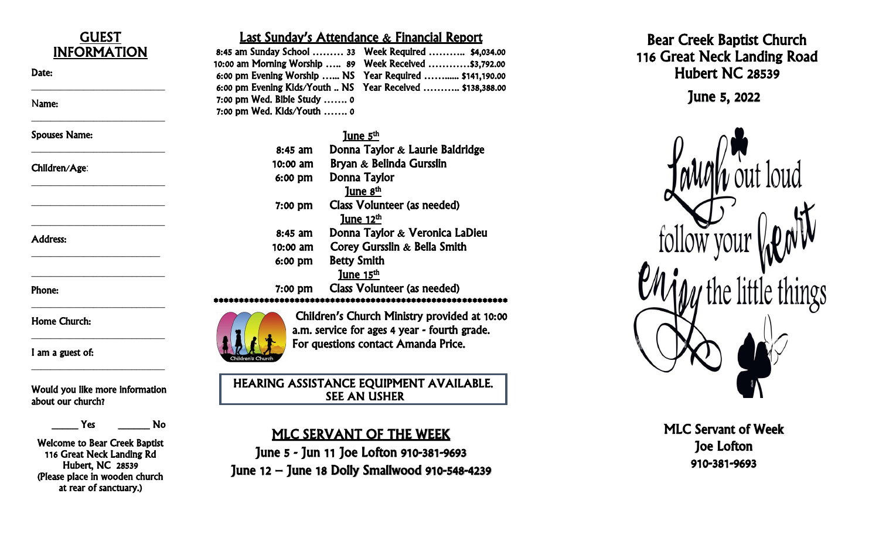| <b>GUEST</b>                         | <u> Last Sunday's Attendance &amp; Financial Report</u>                                                                                                                     |  |
|--------------------------------------|-----------------------------------------------------------------------------------------------------------------------------------------------------------------------------|--|
| <b>INFORMATION</b><br>Date:          | 8:45 am Sunday School  33    Week Required  \$4,034.00<br>10:00 am Morning Worship  89  Week Received \$3,792.00<br>6:00 pm Evening Worship  NS Year Required  \$141,190.00 |  |
| Name:                                | 6:00 pm Evening Kids/Youth  NS Year Received  \$138,388.00<br>7:00 pm Wed. Bible Study  0<br>7:00 pm Wed. Kids/Youth  0                                                     |  |
| <b>Spouses Name:</b>                 | June 5 <sup>th</sup>                                                                                                                                                        |  |
|                                      | Donna Taylor & Laurie Baldridge<br>8:45 am                                                                                                                                  |  |
| Children/Age:                        | Bryan & Belinda Gursslin<br>10:00 am                                                                                                                                        |  |
|                                      | Donna Taylor<br>6:00 pm                                                                                                                                                     |  |
|                                      | June 8 <sup>th</sup>                                                                                                                                                        |  |
|                                      | <b>Class Volunteer (as needed)</b><br>7:00 pm<br>June 12 <sup>th</sup>                                                                                                      |  |
|                                      | Donna Taylor & Veronica LaDieu<br>8:45 am                                                                                                                                   |  |
| <b>Address:</b>                      | Corey Gursslin & Bella Smith<br>$10:00$ am                                                                                                                                  |  |
|                                      | <b>Betty Smith</b><br>6:00 pm                                                                                                                                               |  |
|                                      | June 15th                                                                                                                                                                   |  |
| Phone:                               | <b>Class Volunteer (as needed)</b><br>7:00 pm                                                                                                                               |  |
| <b>Home Church:</b>                  | Children's Church Ministry provided at 10:00<br>a.m. service for ages 4 year - fourth grade.                                                                                |  |
| I am a guest of:                     | For questions contact Amanda Price.<br><b>Children's Church</b>                                                                                                             |  |
| Would you like more information      | HEARING ASSISTANCE EQUIPMENT AVAILABLE.<br><b>SEE AN USHER</b>                                                                                                              |  |
| about our church?                    |                                                                                                                                                                             |  |
| Yes<br><b>No</b>                     |                                                                                                                                                                             |  |
| <b>Welcome to Bear Creek Baptist</b> | <b>MLC SERVANT OF THE WEEK</b>                                                                                                                                              |  |
| 116 Great Neck Landing Rd            | June 5 - Jun 11 Joe Lofton 910-381-9693                                                                                                                                     |  |
| <b>Hubert, NC 28539</b>              | June 12 - June 18 Dolly Smallwood 910-548-4239                                                                                                                              |  |
| (Plaasa nlaca in woodan church)      |                                                                                                                                                                             |  |

(Please place in wooden church at rear of sanctuary.)

Bear Creek Baptist Church 116 Great Neck Landing Road Hubert NC 28539 June 5, 2022



MLC Servant of Week Joe Lofton

910 -381 -9693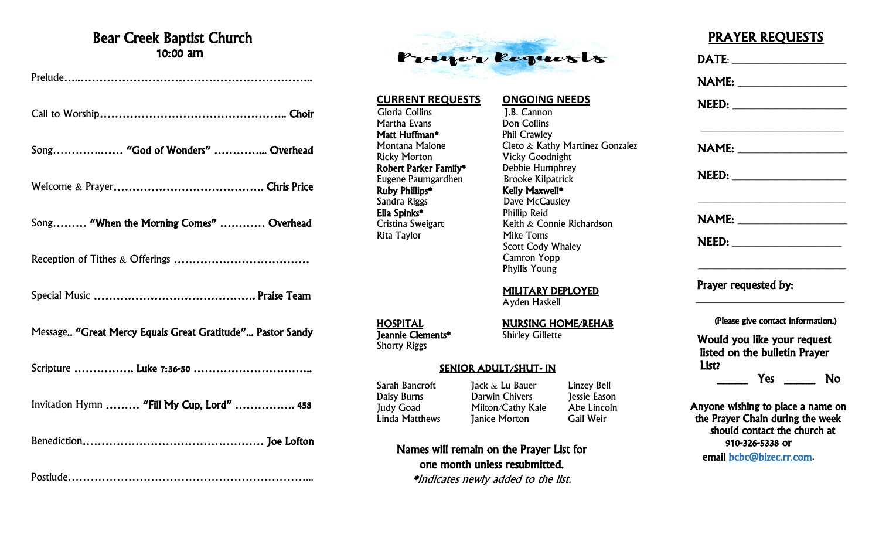## Bear Creek Baptist Church 10:00 am

Prelude…..……………………………………………………..

| Song "God of Wonders"  Overhead                           |
|-----------------------------------------------------------|
|                                                           |
| Song "When the Morning Comes"  Overhead                   |
|                                                           |
|                                                           |
| Message "Great Mercy Equals Great Gratitude" Pastor Sandy |
|                                                           |
| Invitation Hymn  "Fill My Cup, Lord"  458                 |
|                                                           |
|                                                           |



**CURRENT REQUESTS ONGOING NEEDS**<br>
Gloria Collins **1.B. Cannon**  Gloria Collins J.B. Cannon Martha Evans<br> **Matt Huffman\*** Phil Crawley **Matt Huffman\***<br>Montana Malone Montana Malone Cleto & Kathy Martinez Gonzalez<br>Ricky Morton Vicky Goodnight **Vicky Goodnight<br>Debbie Humphrey** Robert Parker Family\* Debbie Humphrey<br>
Eugene Paumgardhen Brooke Kilpatrick Eugene Paumgardhen<br>Ruby Phillips\* Ruby Phillips\* Kelly Maxwell\*<br>Sandra Riggs Bare McCausle Sandra Riggs Bandra Riggs Dave McCausley<br>
Ella Spinks\* Phillip Reid Ella Spinks\*<br>Cristina Sweigart Fission Reith & Cor Cristina Sweigart Keith & Connie Richardson<br>
Rita Taylor Mike Toms Mike Toms Scott Cody Whaley Camron Yopp

MILITARY DEPLOYED

Ayden Haskell

Phyllis Young

HOSPITAL<br> **Internative Shirley Gillette**<br>
Shirley Gillette Jeannie Clements\* Shorty Riggs

### SENIOR ADULT/SHUT- IN

Names will remain on the Prayer List for one month unless resubmitted. \*Indicates newly added to the list.

Judy Goad **Milton/Cathy Kale**<br>
Linda Matthews **Communisher Abel Bo**nton

Sarah Bancroft Jack & Lu Bauer Linzey Bell<br>
Daisy Burns Darwin Chivers Jessie Eason Darwin Chivers Jessie Eason<br>Milton/Cathy Kale Abe Lincoln Linda Matthews Janice Morton Gail Weir

# PRAYER REQUESTS

DATE:

| NEED: _____________                                                                                                                                  |
|------------------------------------------------------------------------------------------------------------------------------------------------------|
|                                                                                                                                                      |
|                                                                                                                                                      |
|                                                                                                                                                      |
| <b>NEED:</b> _______________                                                                                                                         |
| Prayer requested by:                                                                                                                                 |
| (Please give contact information.)                                                                                                                   |
| Would you like your request<br>listed on the bulletin Prayer<br>List?                                                                                |
| <b>Yes</b><br>No                                                                                                                                     |
| Anyone wishing to place a name on<br>the Prayer Chain during the week<br>should contact the church at<br>910-326-5338 or<br>email bcbc@bizec.rr.com. |